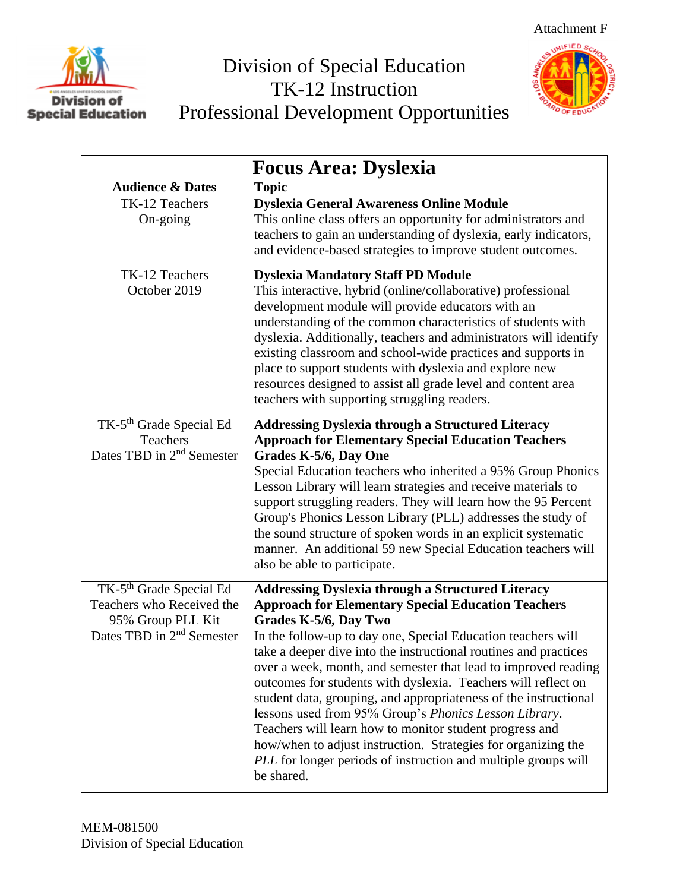

## Division of Special Education TK-12 Instruction Professional Development Opportunities



| <b>Focus Area: Dyslexia</b>                                                                                                    |                                                                                                                                                                                                                                                                                                                                                                                                                                                                                                                                                                                                                                                                                                                                                                |
|--------------------------------------------------------------------------------------------------------------------------------|----------------------------------------------------------------------------------------------------------------------------------------------------------------------------------------------------------------------------------------------------------------------------------------------------------------------------------------------------------------------------------------------------------------------------------------------------------------------------------------------------------------------------------------------------------------------------------------------------------------------------------------------------------------------------------------------------------------------------------------------------------------|
| <b>Audience &amp; Dates</b>                                                                                                    | <b>Topic</b>                                                                                                                                                                                                                                                                                                                                                                                                                                                                                                                                                                                                                                                                                                                                                   |
| TK-12 Teachers<br>On-going                                                                                                     | <b>Dyslexia General Awareness Online Module</b><br>This online class offers an opportunity for administrators and<br>teachers to gain an understanding of dyslexia, early indicators,<br>and evidence-based strategies to improve student outcomes.                                                                                                                                                                                                                                                                                                                                                                                                                                                                                                            |
| TK-12 Teachers<br>October 2019                                                                                                 | <b>Dyslexia Mandatory Staff PD Module</b><br>This interactive, hybrid (online/collaborative) professional<br>development module will provide educators with an<br>understanding of the common characteristics of students with<br>dyslexia. Additionally, teachers and administrators will identify<br>existing classroom and school-wide practices and supports in<br>place to support students with dyslexia and explore new<br>resources designed to assist all grade level and content area<br>teachers with supporting struggling readers.                                                                                                                                                                                                                |
| TK-5 <sup>th</sup> Grade Special Ed<br>Teachers<br>Dates TBD in 2 <sup>nd</sup> Semester                                       | <b>Addressing Dyslexia through a Structured Literacy</b><br><b>Approach for Elementary Special Education Teachers</b><br>Grades K-5/6, Day One<br>Special Education teachers who inherited a 95% Group Phonics<br>Lesson Library will learn strategies and receive materials to<br>support struggling readers. They will learn how the 95 Percent<br>Group's Phonics Lesson Library (PLL) addresses the study of<br>the sound structure of spoken words in an explicit systematic<br>manner. An additional 59 new Special Education teachers will<br>also be able to participate.                                                                                                                                                                              |
| TK-5 <sup>th</sup> Grade Special Ed<br>Teachers who Received the<br>95% Group PLL Kit<br>Dates TBD in 2 <sup>nd</sup> Semester | <b>Addressing Dyslexia through a Structured Literacy</b><br><b>Approach for Elementary Special Education Teachers</b><br>Grades K-5/6, Day Two<br>In the follow-up to day one, Special Education teachers will<br>take a deeper dive into the instructional routines and practices<br>over a week, month, and semester that lead to improved reading<br>outcomes for students with dyslexia. Teachers will reflect on<br>student data, grouping, and appropriateness of the instructional<br>lessons used from 95% Group's Phonics Lesson Library.<br>Teachers will learn how to monitor student progress and<br>how/when to adjust instruction. Strategies for organizing the<br>PLL for longer periods of instruction and multiple groups will<br>be shared. |